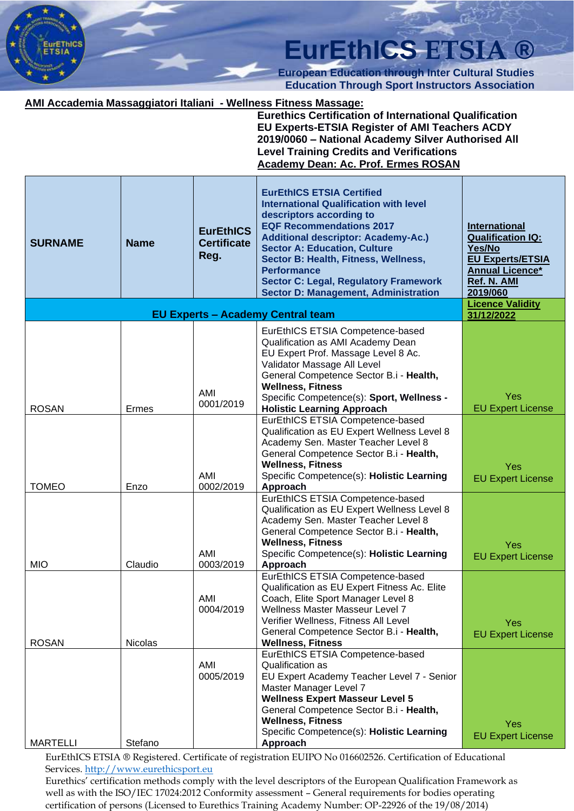

**European Education through Inter Cultural Studies Education Through Sport Instructors Association**

#### **AMI Accademia Massaggiatori Italiani - Wellness Fitness Massage:**

**Eurethics Certification of International Qualification EU Experts-ETSIA Register of AMI Teachers ACDY 2019/0060 – National Academy Silver Authorised All Level Training Credits and Verifications Academy Dean: Ac. Prof. Ermes ROSAN**

| <b>SURNAME</b>  | <b>Name</b>    | <b>EurEthICS</b><br><b>Certificate</b><br>Reg. | <b>EurEthICS ETSIA Certified</b><br><b>International Qualification with level</b><br>descriptors according to<br><b>EQF Recommendations 2017</b><br><b>Additional descriptor: Academy-Ac.)</b><br><b>Sector A: Education, Culture</b><br>Sector B: Health, Fitness, Wellness,<br><b>Performance</b><br><b>Sector C: Legal, Regulatory Framework</b><br><b>Sector D: Management, Administration</b> | <b>International</b><br><b>Qualification IQ:</b><br>Yes/No<br><b>EU Experts/ETSIA</b><br><b>Annual Licence*</b><br>Ref. N. AMI<br>2019/060 |
|-----------------|----------------|------------------------------------------------|----------------------------------------------------------------------------------------------------------------------------------------------------------------------------------------------------------------------------------------------------------------------------------------------------------------------------------------------------------------------------------------------------|--------------------------------------------------------------------------------------------------------------------------------------------|
|                 |                |                                                | <b>EU Experts - Academy Central team</b>                                                                                                                                                                                                                                                                                                                                                           | <b>Licence Validity</b><br>31/12/2022                                                                                                      |
|                 |                | AMI                                            | EurEthICS ETSIA Competence-based<br>Qualification as AMI Academy Dean<br>EU Expert Prof. Massage Level 8 Ac.<br>Validator Massage All Level<br>General Competence Sector B.i - Health,<br><b>Wellness, Fitness</b><br>Specific Competence(s): Sport, Wellness -                                                                                                                                    | Yes                                                                                                                                        |
| <b>ROSAN</b>    | Ermes          | 0001/2019                                      | <b>Holistic Learning Approach</b><br>EurEthICS ETSIA Competence-based                                                                                                                                                                                                                                                                                                                              | <b>EU Expert License</b>                                                                                                                   |
|                 |                | AMI                                            | Qualification as EU Expert Wellness Level 8<br>Academy Sen. Master Teacher Level 8<br>General Competence Sector B.i - Health,<br><b>Wellness, Fitness</b><br>Specific Competence(s): Holistic Learning                                                                                                                                                                                             | Yes<br><b>EU Expert License</b>                                                                                                            |
| <b>TOMEO</b>    | Enzo           | 0002/2019                                      | Approach<br>EurEthICS ETSIA Competence-based                                                                                                                                                                                                                                                                                                                                                       |                                                                                                                                            |
|                 |                |                                                | Qualification as EU Expert Wellness Level 8<br>Academy Sen. Master Teacher Level 8<br>General Competence Sector B.i - Health,<br><b>Wellness, Fitness</b>                                                                                                                                                                                                                                          | Yes                                                                                                                                        |
| <b>MIO</b>      | Claudio        | AMI<br>0003/2019                               | Specific Competence(s): Holistic Learning<br>Approach                                                                                                                                                                                                                                                                                                                                              | <b>EU Expert License</b>                                                                                                                   |
| <b>ROSAN</b>    | <b>Nicolas</b> | AMI<br>0004/2019                               | EurEthICS ETSIA Competence-based<br>Qualification as EU Expert Fitness Ac. Elite<br>Coach, Elite Sport Manager Level 8<br>Wellness Master Masseur Level 7<br>Verifier Wellness, Fitness All Level<br>General Competence Sector B.i - Health,<br><b>Wellness, Fitness</b>                                                                                                                           | Yes<br><b>EU Expert License</b>                                                                                                            |
| <b>MARTELLI</b> | Stefano        | AMI<br>0005/2019                               | EurEthICS ETSIA Competence-based<br>Qualification as<br>EU Expert Academy Teacher Level 7 - Senior<br>Master Manager Level 7<br><b>Wellness Expert Masseur Level 5</b><br>General Competence Sector B.i - Health,<br><b>Wellness, Fitness</b><br>Specific Competence(s): Holistic Learning<br>Approach                                                                                             | Yes<br><b>EU Expert License</b>                                                                                                            |

EurEthICS ETSIA ® Registered. Certificate of registration EUIPO No 016602526. Certification of Educational Services. [http://www.eurethicsport.eu](http://www.eurethicsport.eu/)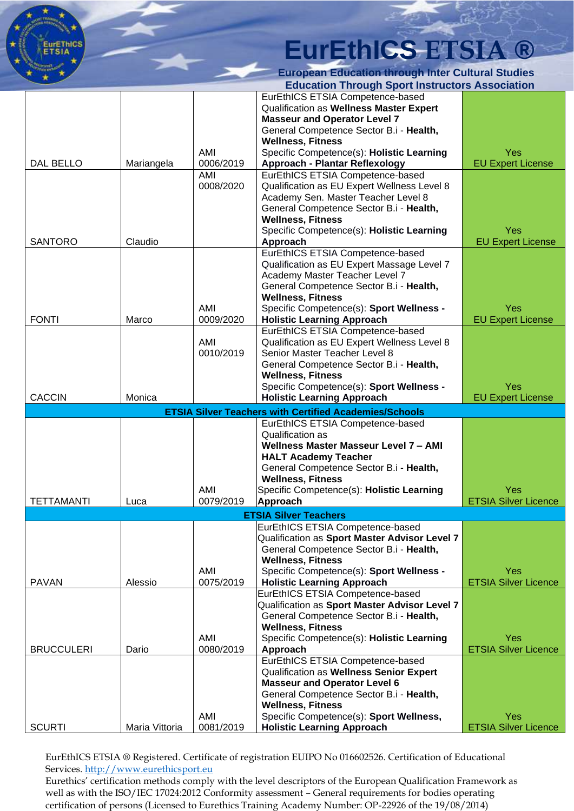

|                                                               |                |                  | Education Through Sport Instructors Association                              |                                    |  |  |
|---------------------------------------------------------------|----------------|------------------|------------------------------------------------------------------------------|------------------------------------|--|--|
|                                                               |                |                  | EurEthICS ETSIA Competence-based                                             |                                    |  |  |
|                                                               |                |                  | Qualification as Wellness Master Expert                                      |                                    |  |  |
|                                                               |                |                  | <b>Masseur and Operator Level 7</b>                                          |                                    |  |  |
|                                                               |                |                  | General Competence Sector B.i - Health,                                      |                                    |  |  |
|                                                               |                |                  | <b>Wellness, Fitness</b>                                                     |                                    |  |  |
|                                                               |                | AMI              | Specific Competence(s): Holistic Learning                                    | Yes                                |  |  |
| DAL BELLO                                                     | Mariangela     | 0006/2019        | <b>Approach - Plantar Reflexology</b>                                        | <b>EU Expert License</b>           |  |  |
|                                                               |                | AMI              | EurEthICS ETSIA Competence-based                                             |                                    |  |  |
|                                                               |                | 0008/2020        | Qualification as EU Expert Wellness Level 8                                  |                                    |  |  |
|                                                               |                |                  | Academy Sen. Master Teacher Level 8                                          |                                    |  |  |
|                                                               |                |                  | General Competence Sector B.i - Health,                                      |                                    |  |  |
|                                                               |                |                  | <b>Wellness, Fitness</b>                                                     |                                    |  |  |
|                                                               |                |                  | Specific Competence(s): Holistic Learning                                    | Yes                                |  |  |
| <b>SANTORO</b>                                                | Claudio        |                  | Approach                                                                     | <b>EU Expert License</b>           |  |  |
|                                                               |                |                  | EurEthICS ETSIA Competence-based                                             |                                    |  |  |
|                                                               |                |                  |                                                                              |                                    |  |  |
|                                                               |                |                  | Qualification as EU Expert Massage Level 7                                   |                                    |  |  |
|                                                               |                |                  | Academy Master Teacher Level 7                                               |                                    |  |  |
|                                                               |                |                  | General Competence Sector B.i - Health,                                      |                                    |  |  |
|                                                               |                |                  | <b>Wellness, Fitness</b>                                                     |                                    |  |  |
|                                                               |                | AMI              | Specific Competence(s): Sport Wellness -                                     | Yes                                |  |  |
| <b>FONTI</b>                                                  | Marco          | 0009/2020        | <b>Holistic Learning Approach</b>                                            | <b>EU Expert License</b>           |  |  |
|                                                               |                |                  | EurEthICS ETSIA Competence-based                                             |                                    |  |  |
|                                                               |                | AMI              | Qualification as EU Expert Wellness Level 8                                  |                                    |  |  |
|                                                               |                | 0010/2019        | Senior Master Teacher Level 8                                                |                                    |  |  |
|                                                               |                |                  | General Competence Sector B.i - Health,                                      |                                    |  |  |
|                                                               |                |                  | <b>Wellness, Fitness</b>                                                     |                                    |  |  |
|                                                               |                |                  | Specific Competence(s): Sport Wellness -                                     | Yes                                |  |  |
| <b>CACCIN</b>                                                 | Monica         |                  | <b>Holistic Learning Approach</b>                                            | <b>EU Expert License</b>           |  |  |
|                                                               |                |                  |                                                                              |                                    |  |  |
| <b>ETSIA Silver Teachers with Certified Academies/Schools</b> |                |                  |                                                                              |                                    |  |  |
|                                                               |                |                  |                                                                              |                                    |  |  |
|                                                               |                |                  | EurEthICS ETSIA Competence-based                                             |                                    |  |  |
|                                                               |                |                  | Qualification as                                                             |                                    |  |  |
|                                                               |                |                  | Wellness Master Masseur Level 7 - AMI                                        |                                    |  |  |
|                                                               |                |                  | <b>HALT Academy Teacher</b>                                                  |                                    |  |  |
|                                                               |                |                  | General Competence Sector B.i - Health,                                      |                                    |  |  |
|                                                               |                |                  | <b>Wellness, Fitness</b>                                                     |                                    |  |  |
|                                                               |                | AMI              | Specific Competence(s): Holistic Learning                                    | Yes                                |  |  |
| <b>TETTAMANTI</b>                                             | Luca           | 0079/2019        | <b>Approach</b>                                                              | <b>ETSIA Silver Licence</b>        |  |  |
|                                                               |                |                  | <b>ETSIA Silver Teachers</b>                                                 |                                    |  |  |
|                                                               |                |                  |                                                                              |                                    |  |  |
|                                                               |                |                  | EurEthICS ETSIA Competence-based                                             |                                    |  |  |
|                                                               |                |                  | Qualification as Sport Master Advisor Level 7                                |                                    |  |  |
|                                                               |                |                  | General Competence Sector B.i - Health,                                      |                                    |  |  |
|                                                               |                |                  | <b>Wellness, Fitness</b>                                                     |                                    |  |  |
|                                                               |                | AMI              | Specific Competence(s): Sport Wellness -                                     | Yes                                |  |  |
| <b>PAVAN</b>                                                  | Alessio        | 0075/2019        | <b>Holistic Learning Approach</b>                                            | <b>ETSIA Silver Licence</b>        |  |  |
|                                                               |                |                  | EurEthICS ETSIA Competence-based                                             |                                    |  |  |
|                                                               |                |                  | Qualification as Sport Master Advisor Level 7                                |                                    |  |  |
|                                                               |                |                  | General Competence Sector B.i - Health,                                      |                                    |  |  |
|                                                               |                |                  | <b>Wellness, Fitness</b>                                                     |                                    |  |  |
|                                                               |                | AMI              | Specific Competence(s): Holistic Learning                                    | Yes                                |  |  |
| <b>BRUCCULERI</b>                                             | Dario          | 0080/2019        | Approach                                                                     | <b>ETSIA Silver Licence</b>        |  |  |
|                                                               |                |                  | EurEthICS ETSIA Competence-based                                             |                                    |  |  |
|                                                               |                |                  | Qualification as Wellness Senior Expert                                      |                                    |  |  |
|                                                               |                |                  | <b>Masseur and Operator Level 6</b>                                          |                                    |  |  |
|                                                               |                |                  | General Competence Sector B.i - Health,                                      |                                    |  |  |
|                                                               |                |                  | <b>Wellness, Fitness</b>                                                     |                                    |  |  |
| <b>SCURTI</b>                                                 | Maria Vittoria | AMI<br>0081/2019 | Specific Competence(s): Sport Wellness,<br><b>Holistic Learning Approach</b> | Yes<br><b>ETSIA Silver Licence</b> |  |  |

EurEthICS ETSIA ® Registered. Certificate of registration EUIPO No 016602526. Certification of Educational Services. [http://www.eurethicsport.eu](http://www.eurethicsport.eu/)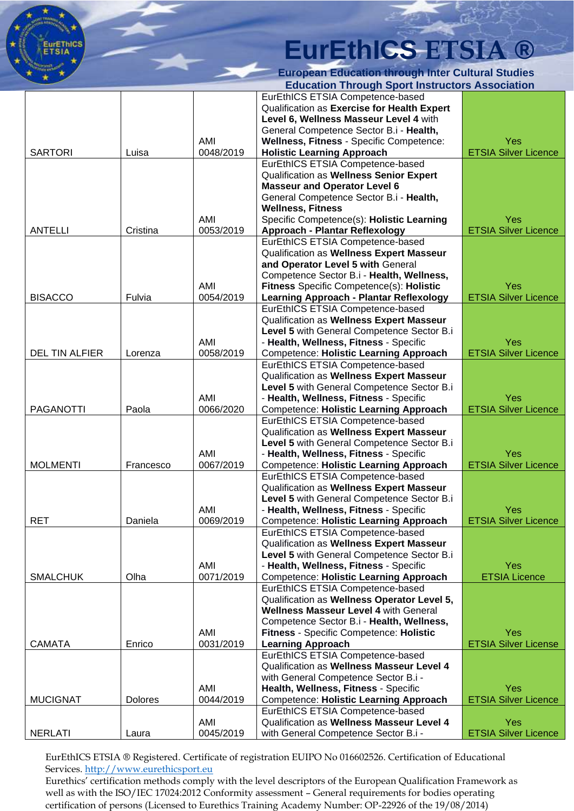

|                       |                |           | Lauvanon Through Opon mon actors Accoonation   |                             |
|-----------------------|----------------|-----------|------------------------------------------------|-----------------------------|
|                       |                |           | EurEthICS ETSIA Competence-based               |                             |
|                       |                |           | Qualification as Exercise for Health Expert    |                             |
|                       |                |           | Level 6, Wellness Masseur Level 4 with         |                             |
|                       |                |           | General Competence Sector B.i - Health,        |                             |
|                       |                | AMI       | Wellness, Fitness - Specific Competence:       | Yes                         |
| <b>SARTORI</b>        | Luisa          | 0048/2019 | <b>Holistic Learning Approach</b>              | <b>ETSIA Silver Licence</b> |
|                       |                |           | EurEthICS ETSIA Competence-based               |                             |
|                       |                |           |                                                |                             |
|                       |                |           | Qualification as Wellness Senior Expert        |                             |
|                       |                |           | <b>Masseur and Operator Level 6</b>            |                             |
|                       |                |           | General Competence Sector B.i - Health,        |                             |
|                       |                |           | <b>Wellness, Fitness</b>                       |                             |
|                       |                | AMI       | Specific Competence(s): Holistic Learning      | Yes                         |
| <b>ANTELLI</b>        | Cristina       | 0053/2019 | <b>Approach - Plantar Reflexology</b>          | <b>ETSIA Silver Licence</b> |
|                       |                |           | EurEthICS ETSIA Competence-based               |                             |
|                       |                |           | Qualification as Wellness Expert Masseur       |                             |
|                       |                |           | and Operator Level 5 with General              |                             |
|                       |                |           |                                                |                             |
|                       |                |           | Competence Sector B.i - Health, Wellness,      |                             |
|                       |                | AMI       | Fitness Specific Competence(s): Holistic       | Yes                         |
| <b>BISACCO</b>        | Fulvia         | 0054/2019 | <b>Learning Approach - Plantar Reflexology</b> | <b>ETSIA Silver Licence</b> |
|                       |                |           | EurEthICS ETSIA Competence-based               |                             |
|                       |                |           | Qualification as Wellness Expert Masseur       |                             |
|                       |                |           | Level 5 with General Competence Sector B.i     |                             |
|                       |                | AMI       | - Health, Wellness, Fitness - Specific         | Yes                         |
| <b>DEL TIN ALFIER</b> | Lorenza        | 0058/2019 | <b>Competence: Holistic Learning Approach</b>  | <b>ETSIA Silver Licence</b> |
|                       |                |           | EurEthICS ETSIA Competence-based               |                             |
|                       |                |           |                                                |                             |
|                       |                |           | Qualification as Wellness Expert Masseur       |                             |
|                       |                |           | Level 5 with General Competence Sector B.i     |                             |
|                       |                | AMI       | - Health, Wellness, Fitness - Specific         | Yes                         |
| <b>PAGANOTTI</b>      | Paola          | 0066/2020 | <b>Competence: Holistic Learning Approach</b>  | <b>ETSIA Silver Licence</b> |
|                       |                |           | EurEthICS ETSIA Competence-based               |                             |
|                       |                |           | Qualification as Wellness Expert Masseur       |                             |
|                       |                |           | Level 5 with General Competence Sector B.i     |                             |
|                       |                | AMI       | - Health, Wellness, Fitness - Specific         | Yes                         |
| <b>MOLMENTI</b>       | Francesco      | 0067/2019 | <b>Competence: Holistic Learning Approach</b>  | <b>ETSIA Silver Licence</b> |
|                       |                |           | EurEthICS ETSIA Competence-based               |                             |
|                       |                |           |                                                |                             |
|                       |                |           | Qualification as Wellness Expert Masseur       |                             |
|                       |                |           | Level 5 with General Competence Sector B.i     |                             |
|                       |                | AMI       | - Health, Wellness, Fitness - Specific         | Yes                         |
| <b>RET</b>            | Daniela        | 0069/2019 | <b>Competence: Holistic Learning Approach</b>  | <b>ETSIA Silver Licence</b> |
|                       |                |           | EurEthICS ETSIA Competence-based               |                             |
|                       |                |           | Qualification as Wellness Expert Masseur       |                             |
|                       |                |           | Level 5 with General Competence Sector B.i     |                             |
|                       |                | AMI       | - Health, Wellness, Fitness - Specific         | Yes                         |
| <b>SMALCHUK</b>       | Olha           | 0071/2019 | <b>Competence: Holistic Learning Approach</b>  | <b>ETSIA Licence</b>        |
|                       |                |           | EurEthICS ETSIA Competence-based               |                             |
|                       |                |           |                                                |                             |
|                       |                |           | Qualification as Wellness Operator Level 5,    |                             |
|                       |                |           | <b>Wellness Masseur Level 4 with General</b>   |                             |
|                       |                |           | Competence Sector B.i - Health, Wellness,      |                             |
|                       |                | AMI       | Fitness - Specific Competence: Holistic        | Yes                         |
| <b>CAMATA</b>         | Enrico         | 0031/2019 | <b>Learning Approach</b>                       | <b>ETSIA Silver License</b> |
|                       |                |           | EurEthICS ETSIA Competence-based               |                             |
|                       |                |           | Qualification as Wellness Masseur Level 4      |                             |
|                       |                |           | with General Competence Sector B.i -           |                             |
|                       |                | AMI       | Health, Wellness, Fitness - Specific           | Yes                         |
| <b>MUCIGNAT</b>       | <b>Dolores</b> | 0044/2019 | <b>Competence: Holistic Learning Approach</b>  | <b>ETSIA Silver Licence</b> |
|                       |                |           |                                                |                             |
|                       |                |           | EurEthICS ETSIA Competence-based               |                             |
|                       |                | AMI       | Qualification as Wellness Masseur Level 4      | Yes                         |
| <b>NERLATI</b>        | Laura          | 0045/2019 | with General Competence Sector B.i -           | <b>ETSIA Silver Licence</b> |

EurEthICS ETSIA ® Registered. Certificate of registration EUIPO No 016602526. Certification of Educational Services. [http://www.eurethicsport.eu](http://www.eurethicsport.eu/)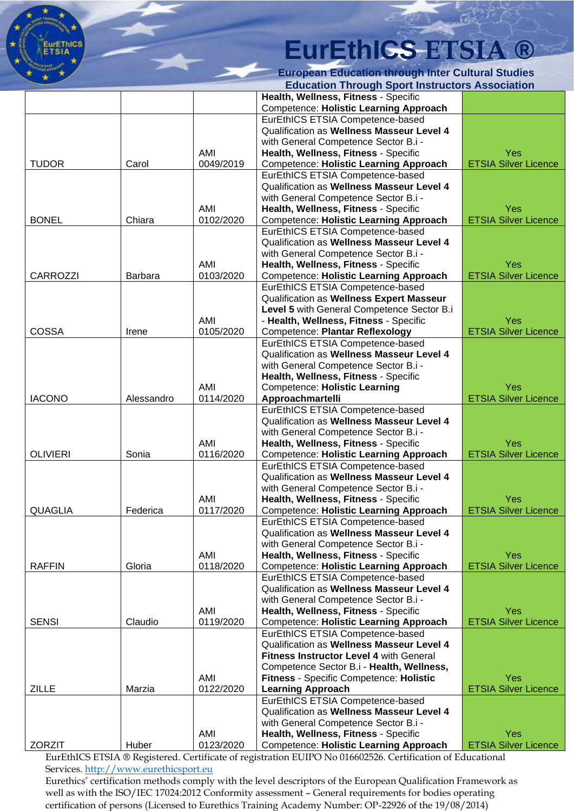

|                 |                |           | Lauvanon Through Opon mon uctors Association   |                             |
|-----------------|----------------|-----------|------------------------------------------------|-----------------------------|
|                 |                |           | Health, Wellness, Fitness - Specific           |                             |
|                 |                |           | <b>Competence: Holistic Learning Approach</b>  |                             |
|                 |                |           | EurEthICS ETSIA Competence-based               |                             |
|                 |                |           | Qualification as Wellness Masseur Level 4      |                             |
|                 |                |           | with General Competence Sector B.i -           |                             |
|                 |                | AMI       | Health, Wellness, Fitness - Specific           | Yes                         |
| <b>TUDOR</b>    | Carol          | 0049/2019 | <b>Competence: Holistic Learning Approach</b>  | <b>ETSIA Silver Licence</b> |
|                 |                |           | EurEthICS ETSIA Competence-based               |                             |
|                 |                |           | Qualification as Wellness Masseur Level 4      |                             |
|                 |                |           | with General Competence Sector B.i -           |                             |
|                 |                | AMI       | Health, Wellness, Fitness - Specific           | <b>Yes</b>                  |
| <b>BONEL</b>    | Chiara         | 0102/2020 | <b>Competence: Holistic Learning Approach</b>  | <b>ETSIA Silver Licence</b> |
|                 |                |           | EurEthICS ETSIA Competence-based               |                             |
|                 |                |           | Qualification as Wellness Masseur Level 4      |                             |
|                 |                |           | with General Competence Sector B.i -           |                             |
|                 |                | AMI       | Health, Wellness, Fitness - Specific           | Yes                         |
| <b>CARROZZI</b> | <b>Barbara</b> | 0103/2020 | <b>Competence: Holistic Learning Approach</b>  | <b>ETSIA Silver Licence</b> |
|                 |                |           | EurEthICS ETSIA Competence-based               |                             |
|                 |                |           | Qualification as Wellness Expert Masseur       |                             |
|                 |                |           | Level 5 with General Competence Sector B.i     |                             |
|                 |                | AMI       | - Health, Wellness, Fitness - Specific         | Yes                         |
| <b>COSSA</b>    | Irene          | 0105/2020 | Competence: Plantar Reflexology                | <b>ETSIA Silver Licence</b> |
|                 |                |           | EurEthICS ETSIA Competence-based               |                             |
|                 |                |           | Qualification as Wellness Masseur Level 4      |                             |
|                 |                |           | with General Competence Sector B.i -           |                             |
|                 |                |           | Health, Wellness, Fitness - Specific           |                             |
|                 |                | AMI       | <b>Competence: Holistic Learning</b>           | Yes                         |
| <b>IACONO</b>   | Alessandro     | 0114/2020 | Approachmartelli                               | <b>ETSIA Silver Licence</b> |
|                 |                |           | EurEthICS ETSIA Competence-based               |                             |
|                 |                |           | Qualification as Wellness Masseur Level 4      |                             |
|                 |                |           | with General Competence Sector B.i -           |                             |
|                 |                | AMI       | Health, Wellness, Fitness - Specific           | Yes                         |
| <b>OLIVIERI</b> | Sonia          | 0116/2020 | <b>Competence: Holistic Learning Approach</b>  | <b>ETSIA Silver Licence</b> |
|                 |                |           | EurEthICS ETSIA Competence-based               |                             |
|                 |                |           | Qualification as Wellness Masseur Level 4      |                             |
|                 |                |           | with General Competence Sector B.i -           |                             |
|                 |                | AMI       | Health, Wellness, Fitness - Specific           | Yes                         |
| <b>QUAGLIA</b>  | Federica       | 0117/2020 | <b>Competence: Holistic Learning Approach</b>  | <b>ETSIA Silver Licence</b> |
|                 |                |           | EurEthICS ETSIA Competence-based               |                             |
|                 |                |           | Qualification as Wellness Masseur Level 4      |                             |
|                 |                |           | with General Competence Sector B.i -           |                             |
|                 |                | AMI       | Health, Wellness, Fitness - Specific           | <b>Yes</b>                  |
| <b>RAFFIN</b>   | Gloria         | 0118/2020 | <b>Competence: Holistic Learning Approach</b>  | <b>ETSIA Silver Licence</b> |
|                 |                |           | EurEthICS ETSIA Competence-based               |                             |
|                 |                |           | Qualification as Wellness Masseur Level 4      |                             |
|                 |                |           | with General Competence Sector B.i -           |                             |
|                 |                | AMI       | Health, Wellness, Fitness - Specific           | Yes                         |
| <b>SENSI</b>    | Claudio        | 0119/2020 | <b>Competence: Holistic Learning Approach</b>  | <b>ETSIA Silver Licence</b> |
|                 |                |           | EurEthICS ETSIA Competence-based               |                             |
|                 |                |           | Qualification as Wellness Masseur Level 4      |                             |
|                 |                |           | <b>Fitness Instructor Level 4 with General</b> |                             |
|                 |                |           | Competence Sector B.i - Health, Wellness,      |                             |
|                 |                | AMI       | <b>Fitness - Specific Competence: Holistic</b> | Yes                         |
| <b>ZILLE</b>    | Marzia         | 0122/2020 | <b>Learning Approach</b>                       | <b>ETSIA Silver Licence</b> |
|                 |                |           | EurEthICS ETSIA Competence-based               |                             |
|                 |                |           | Qualification as Wellness Masseur Level 4      |                             |
|                 |                |           | with General Competence Sector B.i -           |                             |
|                 |                | AMI       | Health, Wellness, Fitness - Specific           | Yes                         |
| <b>ZORZIT</b>   | Huber          | 0123/2020 | <b>Competence: Holistic Learning Approach</b>  | <b>ETSIA Silver Licence</b> |

EurEthICS ETSIA ® Registered. Certificate of registration EUIPO No 016602526. Certification of Educational Services. [http://www.eurethicsport.eu](http://www.eurethicsport.eu/)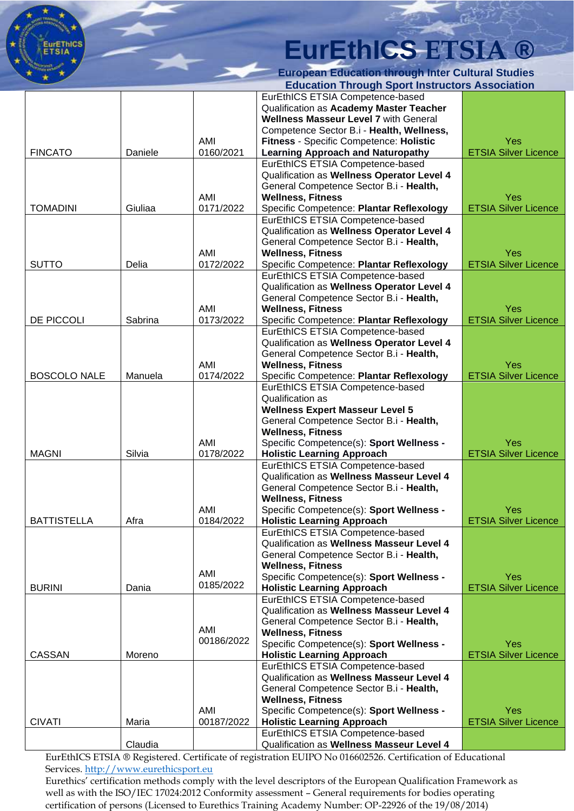

|                     |         |            | Luuvanon Tinough opon misu uvuois Associatioi |                             |
|---------------------|---------|------------|-----------------------------------------------|-----------------------------|
|                     |         |            | EurEthICS ETSIA Competence-based              |                             |
|                     |         |            | Qualification as Academy Master Teacher       |                             |
|                     |         |            | <b>Wellness Masseur Level 7 with General</b>  |                             |
|                     |         |            | Competence Sector B.i - Health, Wellness,     |                             |
|                     |         | AMI        | Fitness - Specific Competence: Holistic       | Yes                         |
|                     | Daniele |            |                                               |                             |
| <b>FINCATO</b>      |         | 0160/2021  | <b>Learning Approach and Naturopathy</b>      | <b>ETSIA Silver Licence</b> |
|                     |         |            | EurEthICS ETSIA Competence-based              |                             |
|                     |         |            | Qualification as Wellness Operator Level 4    |                             |
|                     |         |            | General Competence Sector B.i - Health,       |                             |
|                     |         | AMI        | <b>Wellness, Fitness</b>                      | Yes                         |
| <b>TOMADINI</b>     | Giuliaa | 0171/2022  | Specific Competence: Plantar Reflexology      | <b>ETSIA Silver Licence</b> |
|                     |         |            |                                               |                             |
|                     |         |            | EurEthICS ETSIA Competence-based              |                             |
|                     |         |            | Qualification as Wellness Operator Level 4    |                             |
|                     |         |            | General Competence Sector B.i - Health,       |                             |
|                     |         | AMI        | <b>Wellness, Fitness</b>                      | Yes                         |
| <b>SUTTO</b>        | Delia   | 0172/2022  | Specific Competence: Plantar Reflexology      | <b>ETSIA Silver Licence</b> |
|                     |         |            | EurEthICS ETSIA Competence-based              |                             |
|                     |         |            | Qualification as Wellness Operator Level 4    |                             |
|                     |         |            |                                               |                             |
|                     |         |            | General Competence Sector B.i - Health,       |                             |
|                     |         | AMI        | <b>Wellness, Fitness</b>                      | Yes                         |
| DE PICCOLI          | Sabrina | 0173/2022  | Specific Competence: Plantar Reflexology      | <b>ETSIA Silver Licence</b> |
|                     |         |            | EurEthICS ETSIA Competence-based              |                             |
|                     |         |            | Qualification as Wellness Operator Level 4    |                             |
|                     |         |            |                                               |                             |
|                     |         |            | General Competence Sector B.i - Health,       |                             |
|                     |         | AMI        | <b>Wellness, Fitness</b>                      | Yes                         |
| <b>BOSCOLO NALE</b> | Manuela | 0174/2022  | Specific Competence: Plantar Reflexology      | <b>ETSIA Silver Licence</b> |
|                     |         |            | EurEthICS ETSIA Competence-based              |                             |
|                     |         |            | <b>Qualification as</b>                       |                             |
|                     |         |            | <b>Wellness Expert Masseur Level 5</b>        |                             |
|                     |         |            |                                               |                             |
|                     |         |            | General Competence Sector B.i - Health,       |                             |
|                     |         |            | <b>Wellness, Fitness</b>                      |                             |
|                     |         | AMI        | Specific Competence(s): Sport Wellness -      | Yes                         |
| <b>MAGNI</b>        | Silvia  | 0178/2022  | <b>Holistic Learning Approach</b>             | <b>ETSIA Silver Licence</b> |
|                     |         |            | EurEthICS ETSIA Competence-based              |                             |
|                     |         |            | Qualification as Wellness Masseur Level 4     |                             |
|                     |         |            |                                               |                             |
|                     |         |            | General Competence Sector B.i - Health,       |                             |
|                     |         |            | <b>Wellness, Fitness</b>                      |                             |
|                     |         | AMI        | Specific Competence(s): Sport Wellness -      | Yes                         |
| <b>BATTISTELLA</b>  | Afra    | 0184/2022  | <b>Holistic Learning Approach</b>             | <b>ETSIA Silver Licence</b> |
|                     |         |            | EurEthICS ETSIA Competence-based              |                             |
|                     |         |            | Qualification as Wellness Masseur Level 4     |                             |
|                     |         |            |                                               |                             |
|                     |         |            | General Competence Sector B.i - Health,       |                             |
|                     |         |            | <b>Wellness, Fitness</b>                      |                             |
|                     |         | AMI        | Specific Competence(s): Sport Wellness -      | Yes                         |
| <b>BURINI</b>       | Dania   | 0185/2022  | <b>Holistic Learning Approach</b>             | <b>ETSIA Silver Licence</b> |
|                     |         |            | EurEthICS ETSIA Competence-based              |                             |
|                     |         |            | Qualification as Wellness Masseur Level 4     |                             |
|                     |         |            |                                               |                             |
|                     |         | AMI        | General Competence Sector B.i - Health,       |                             |
|                     |         | 00186/2022 | <b>Wellness, Fitness</b>                      |                             |
|                     |         |            | Specific Competence(s): Sport Wellness -      | Yes                         |
| <b>CASSAN</b>       | Moreno  |            | <b>Holistic Learning Approach</b>             | <b>ETSIA Silver Licence</b> |
|                     |         |            | EurEthICS ETSIA Competence-based              |                             |
|                     |         |            | Qualification as Wellness Masseur Level 4     |                             |
|                     |         |            | General Competence Sector B.i - Health,       |                             |
|                     |         |            |                                               |                             |
|                     |         |            | <b>Wellness, Fitness</b>                      |                             |
|                     |         | AMI        | Specific Competence(s): Sport Wellness -      | Yes                         |
| <b>CIVATI</b>       | Maria   | 00187/2022 | <b>Holistic Learning Approach</b>             | <b>ETSIA Silver Licence</b> |
|                     |         |            | EurEthICS ETSIA Competence-based              |                             |
|                     | Claudia |            | Qualification as Wellness Masseur Level 4     |                             |
|                     |         |            |                                               |                             |

EurEthICS ETSIA ® Registered. Certificate of registration EUIPO No 016602526. Certification of Educational Services. [http://www.eurethicsport.eu](http://www.eurethicsport.eu/)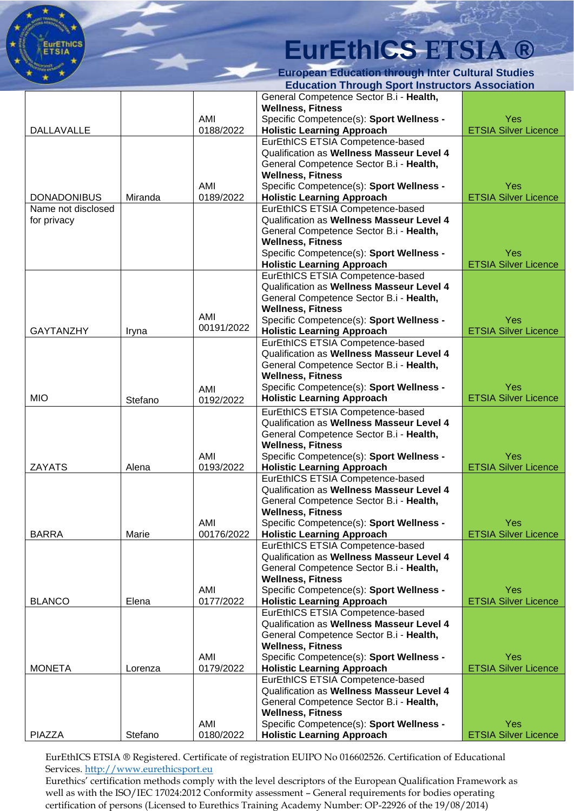

**European Education through Inter Cultural Studies Education Through Sport Instructors Association**

|                    |         |            | General Competence Sector B.i - Health,   |                             |
|--------------------|---------|------------|-------------------------------------------|-----------------------------|
|                    |         |            | <b>Wellness, Fitness</b>                  |                             |
|                    |         | AMI        | Specific Competence(s): Sport Wellness -  | Yes                         |
| DALLAVALLE         |         | 0188/2022  | <b>Holistic Learning Approach</b>         | <b>ETSIA Silver Licence</b> |
|                    |         |            | EurEthICS ETSIA Competence-based          |                             |
|                    |         |            | Qualification as Wellness Masseur Level 4 |                             |
|                    |         |            | General Competence Sector B.i - Health,   |                             |
|                    |         |            | <b>Wellness, Fitness</b>                  |                             |
|                    |         | AMI        | Specific Competence(s): Sport Wellness -  | Yes                         |
| <b>DONADONIBUS</b> | Miranda | 0189/2022  | <b>Holistic Learning Approach</b>         | <b>ETSIA Silver Licence</b> |
| Name not disclosed |         |            | EurEthICS ETSIA Competence-based          |                             |
| for privacy        |         |            | Qualification as Wellness Masseur Level 4 |                             |
|                    |         |            | General Competence Sector B.i - Health,   |                             |
|                    |         |            | <b>Wellness, Fitness</b>                  |                             |
|                    |         |            | Specific Competence(s): Sport Wellness -  | Yes                         |
|                    |         |            | <b>Holistic Learning Approach</b>         | <b>ETSIA Silver Licence</b> |
|                    |         |            | EurEthICS ETSIA Competence-based          |                             |
|                    |         |            | Qualification as Wellness Masseur Level 4 |                             |
|                    |         |            | General Competence Sector B.i - Health,   |                             |
|                    |         |            | <b>Wellness, Fitness</b>                  |                             |
|                    |         | AMI        | Specific Competence(s): Sport Wellness -  | <b>Yes</b>                  |
| <b>GAYTANZHY</b>   | Iryna   | 00191/2022 | <b>Holistic Learning Approach</b>         | <b>ETSIA Silver Licence</b> |
|                    |         |            | EurEthICS ETSIA Competence-based          |                             |
|                    |         |            | Qualification as Wellness Masseur Level 4 |                             |
|                    |         |            | General Competence Sector B.i - Health,   |                             |
|                    |         |            | <b>Wellness, Fitness</b>                  |                             |
|                    |         | AMI        | Specific Competence(s): Sport Wellness -  | <b>Yes</b>                  |
| <b>MIO</b>         | Stefano | 0192/2022  | <b>Holistic Learning Approach</b>         | <b>ETSIA Silver Licence</b> |
|                    |         |            | EurEthICS ETSIA Competence-based          |                             |
|                    |         |            | Qualification as Wellness Masseur Level 4 |                             |
|                    |         |            |                                           |                             |
|                    |         |            | General Competence Sector B.i - Health,   |                             |
|                    |         | AMI        | <b>Wellness, Fitness</b>                  | Yes                         |
| <b>ZAYATS</b>      | Alena   | 0193/2022  | Specific Competence(s): Sport Wellness -  | <b>ETSIA Silver Licence</b> |
|                    |         |            | <b>Holistic Learning Approach</b>         |                             |
|                    |         |            | EurEthICS ETSIA Competence-based          |                             |
|                    |         |            | Qualification as Wellness Masseur Level 4 |                             |
|                    |         |            | General Competence Sector B.i - Health,   |                             |
|                    |         |            | <b>Wellness, Fitness</b>                  |                             |
|                    |         | AMI        | Specific Competence(s): Sport Wellness -  | Yes                         |
| <b>BARRA</b>       | Marie   | 00176/2022 | <b>Holistic Learning Approach</b>         | <b>ETSIA Silver Licence</b> |
|                    |         |            | EurEthICS ETSIA Competence-based          |                             |
|                    |         |            | Qualification as Wellness Masseur Level 4 |                             |
|                    |         |            | General Competence Sector B.i - Health,   |                             |
|                    |         |            | <b>Wellness, Fitness</b>                  |                             |
|                    |         | AMI        | Specific Competence(s): Sport Wellness -  | Yes                         |
| <b>BLANCO</b>      | Elena   | 0177/2022  | <b>Holistic Learning Approach</b>         | <b>ETSIA Silver Licence</b> |
|                    |         |            | EurEthICS ETSIA Competence-based          |                             |
|                    |         |            | Qualification as Wellness Masseur Level 4 |                             |
|                    |         |            | General Competence Sector B.i - Health,   |                             |
|                    |         |            | <b>Wellness, Fitness</b>                  |                             |
|                    |         | AMI        | Specific Competence(s): Sport Wellness -  | <b>Yes</b>                  |
| <b>MONETA</b>      | Lorenza | 0179/2022  | <b>Holistic Learning Approach</b>         | <b>ETSIA Silver Licence</b> |
|                    |         |            | EurEthICS ETSIA Competence-based          |                             |
|                    |         |            | Qualification as Wellness Masseur Level 4 |                             |
|                    |         |            | General Competence Sector B.i - Health,   |                             |
|                    |         |            | <b>Wellness, Fitness</b>                  |                             |
|                    |         | AMI        | Specific Competence(s): Sport Wellness -  | <b>Yes</b>                  |
| <b>PIAZZA</b>      | Stefano | 0180/2022  | <b>Holistic Learning Approach</b>         | <b>ETSIA Silver Licence</b> |

EurEthICS ETSIA ® Registered. Certificate of registration EUIPO No 016602526. Certification of Educational Services. [http://www.eurethicsport.eu](http://www.eurethicsport.eu/)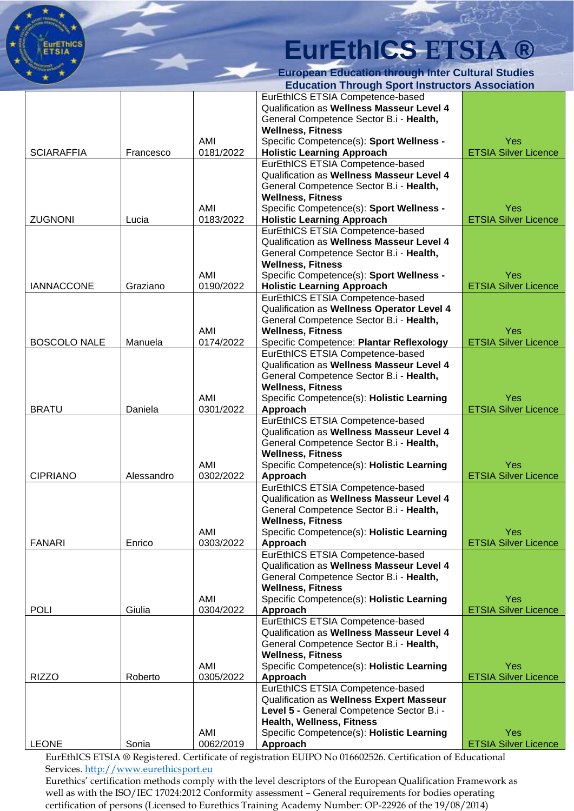

| Yes<br><b>ETSIA Silver Licence</b><br>Yes<br><b>ETSIA Silver Licence</b><br>Yes<br><b>ETSIA Silver Licence</b> |
|----------------------------------------------------------------------------------------------------------------|
|                                                                                                                |
|                                                                                                                |
|                                                                                                                |
|                                                                                                                |
|                                                                                                                |
|                                                                                                                |
|                                                                                                                |
|                                                                                                                |
|                                                                                                                |
|                                                                                                                |
|                                                                                                                |
|                                                                                                                |
|                                                                                                                |
|                                                                                                                |
|                                                                                                                |
|                                                                                                                |
|                                                                                                                |
|                                                                                                                |
|                                                                                                                |
|                                                                                                                |
|                                                                                                                |
|                                                                                                                |
|                                                                                                                |
| Yes                                                                                                            |
| <b>ETSIA Silver Licence</b>                                                                                    |
|                                                                                                                |
|                                                                                                                |
|                                                                                                                |
|                                                                                                                |
| Yes                                                                                                            |
| <b>ETSIA Silver Licence</b>                                                                                    |
|                                                                                                                |
|                                                                                                                |
|                                                                                                                |
|                                                                                                                |
| Yes                                                                                                            |
|                                                                                                                |
| <b>ETSIA Silver Licence</b>                                                                                    |
|                                                                                                                |
|                                                                                                                |
|                                                                                                                |
|                                                                                                                |
| Yes                                                                                                            |
|                                                                                                                |
| <b>ETSIA Silver Licence</b>                                                                                    |
|                                                                                                                |
|                                                                                                                |
|                                                                                                                |
|                                                                                                                |
|                                                                                                                |
| Yes                                                                                                            |
| <b>ETSIA Silver Licence</b>                                                                                    |
|                                                                                                                |
|                                                                                                                |
|                                                                                                                |
|                                                                                                                |
| Yes                                                                                                            |
| <b>ETSIA Silver Licence</b>                                                                                    |
|                                                                                                                |
|                                                                                                                |
|                                                                                                                |
|                                                                                                                |
| Yes                                                                                                            |
|                                                                                                                |

EurEthICS ETSIA ® Registered. Certificate of registration EUIPO No 016602526. Certification of Educational Services. [http://www.eurethicsport.eu](http://www.eurethicsport.eu/)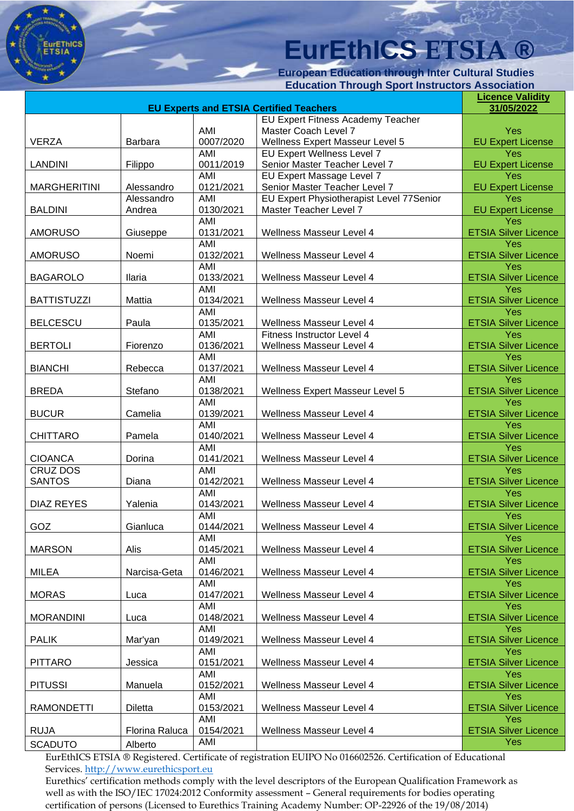**European Education through Inter Cultural Studies Education Through Sport Instructors Association**

|                     | <b>Licence Validity</b> |                  |                                                                      |                                    |
|---------------------|-------------------------|------------------|----------------------------------------------------------------------|------------------------------------|
|                     | 31/05/2022              |                  |                                                                      |                                    |
|                     |                         |                  | EU Expert Fitness Academy Teacher                                    |                                    |
| <b>VERZA</b>        | Barbara                 | AMI<br>0007/2020 | Master Coach Level 7                                                 | <b>Yes</b>                         |
|                     |                         | AMI              | <b>Wellness Expert Masseur Level 5</b><br>EU Expert Wellness Level 7 | <b>EU Expert License</b><br>Yes    |
| <b>LANDINI</b>      | Filippo                 | 0011/2019        | Senior Master Teacher Level 7                                        | <b>EU Expert License</b>           |
|                     |                         | AMI              | EU Expert Massage Level 7                                            | Yes                                |
| <b>MARGHERITINI</b> | Alessandro              | 0121/2021        | Senior Master Teacher Level 7                                        | <b>EU Expert License</b>           |
|                     | Alessandro              | AMI              | EU Expert Physiotherapist Level 77Senior                             | Yes                                |
| <b>BALDINI</b>      | Andrea                  | 0130/2021        | Master Teacher Level 7                                               | <b>EU Expert License</b>           |
|                     |                         | AMI              |                                                                      | Yes                                |
| <b>AMORUSO</b>      | Giuseppe                | 0131/2021        | Wellness Masseur Level 4                                             | <b>ETSIA Silver Licence</b>        |
|                     |                         | <b>AMI</b>       |                                                                      | Yes                                |
| <b>AMORUSO</b>      | Noemi                   | 0132/2021        | Wellness Masseur Level 4                                             | <b>ETSIA Silver Licence</b>        |
|                     |                         | AMI              |                                                                      | Yes                                |
| <b>BAGAROLO</b>     | <b>Ilaria</b>           | 0133/2021        | Wellness Masseur Level 4                                             | <b>ETSIA Silver Licence</b>        |
|                     |                         | AMI              |                                                                      | Yes                                |
| <b>BATTISTUZZI</b>  | Mattia                  | 0134/2021        | Wellness Masseur Level 4                                             | <b>ETSIA Silver Licence</b>        |
|                     |                         | <b>AMI</b>       |                                                                      | Yes                                |
| <b>BELCESCU</b>     | Paula                   | 0135/2021        | Wellness Masseur Level 4                                             | <b>ETSIA Silver Licence</b>        |
|                     |                         | AMI              | Fitness Instructor Level 4                                           | Yes                                |
| <b>BERTOLI</b>      | Fiorenzo                | 0136/2021        | <b>Wellness Masseur Level 4</b>                                      | <b>ETSIA Silver Licence</b>        |
|                     |                         | AMI              |                                                                      | Yes                                |
| <b>BIANCHI</b>      | Rebecca                 | 0137/2021        | Wellness Masseur Level 4                                             | <b>ETSIA Silver Licence</b>        |
|                     |                         | AMI              |                                                                      | Yes                                |
| <b>BREDA</b>        | Stefano                 | 0138/2021        | Wellness Expert Masseur Level 5                                      | <b>ETSIA Silver Licence</b>        |
|                     |                         | <b>AMI</b>       |                                                                      | Yes                                |
| <b>BUCUR</b>        | Camelia                 | 0139/2021        | Wellness Masseur Level 4                                             | <b>ETSIA Silver Licence</b>        |
|                     |                         | AMI              |                                                                      | Yes                                |
| <b>CHITTARO</b>     | Pamela                  | 0140/2021        | Wellness Masseur Level 4                                             | <b>ETSIA Silver Licence</b>        |
|                     |                         | <b>AMI</b>       |                                                                      | Yes                                |
| <b>CIOANCA</b>      | Dorina                  | 0141/2021        | Wellness Masseur Level 4                                             | <b>ETSIA Silver Licence</b>        |
| CRUZ DOS            |                         | AMI<br>0142/2021 |                                                                      | Yes                                |
| <b>SANTOS</b>       | Diana                   | AMI              | Wellness Masseur Level 4                                             | <b>ETSIA Silver Licence</b><br>Yes |
| <b>DIAZ REYES</b>   | Yalenia                 | 0143/2021        | Wellness Masseur Level 4                                             | <b>ETSIA Silver Licence</b>        |
|                     |                         | AMI              |                                                                      | Yes                                |
| GOZ                 | Gianluca                | 0144/2021        | Wellness Masseur Level 4                                             | <b>ETSIA Silver Licence</b>        |
|                     |                         | AMI              |                                                                      | Yes                                |
| <b>MARSON</b>       | Alis                    | 0145/2021        | Wellness Masseur Level 4                                             | <b>ETSIA Silver Licence</b>        |
|                     |                         | AMI              |                                                                      | Yes                                |
| MILEA               | Narcisa-Geta            | 0146/2021        | Wellness Masseur Level 4                                             | <b>ETSIA Silver Licence</b>        |
|                     |                         | AMI              |                                                                      | Yes                                |
| <b>MORAS</b>        | Luca                    | 0147/2021        | Wellness Masseur Level 4                                             | <b>ETSIA Silver Licence</b>        |
|                     |                         | AMI              |                                                                      | <b>Yes</b>                         |
| <b>MORANDINI</b>    | Luca                    | 0148/2021        | Wellness Masseur Level 4                                             | <b>ETSIA Silver Licence</b>        |
|                     |                         | AMI              |                                                                      | <b>Yes</b>                         |
| <b>PALIK</b>        | Mar'yan                 | 0149/2021        | Wellness Masseur Level 4                                             | <b>ETSIA Silver Licence</b>        |
|                     |                         | AMI              |                                                                      | <b>Yes</b>                         |
| <b>PITTARO</b>      | Jessica                 | 0151/2021        | Wellness Masseur Level 4                                             | <b>ETSIA Silver Licence</b>        |
|                     |                         | AMI              |                                                                      | <b>Yes</b>                         |
| <b>PITUSSI</b>      | Manuela                 | 0152/2021        | <b>Wellness Masseur Level 4</b>                                      | <b>ETSIA Silver Licence</b>        |
|                     |                         | AMI              |                                                                      | <b>Yes</b>                         |
| RAMONDETTI          | Diletta                 | 0153/2021        | Wellness Masseur Level 4                                             | <b>ETSIA Silver Licence</b>        |
|                     |                         | AMI              |                                                                      | <b>Yes</b>                         |
| <b>RUJA</b>         | Florina Raluca          | 0154/2021        | Wellness Masseur Level 4                                             | <b>ETSIA Silver Licence</b>        |
| <b>SCADUTO</b>      | Alberto                 | AMI              |                                                                      | Yes                                |

EurEthICS ETSIA ® Registered. Certificate of registration EUIPO No 016602526. Certification of Educational Services. [http://www.eurethicsport.eu](http://www.eurethicsport.eu/)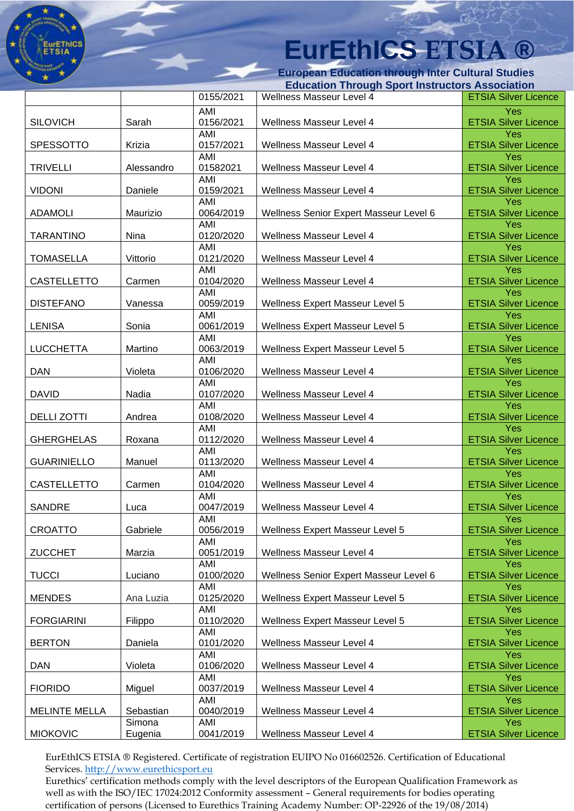**European Education through Inter Cultural Studies** 

| <b>Education Through Sport Instructors Association</b> |                   |                               |                                                      |                                                                   |
|--------------------------------------------------------|-------------------|-------------------------------|------------------------------------------------------|-------------------------------------------------------------------|
|                                                        |                   | 0155/2021                     | Wellness Masseur Level 4                             | <b>ETSIA Silver Licence</b>                                       |
| <b>SILOVICH</b>                                        | Sarah             | AMI<br>0156/2021              | Wellness Masseur Level 4                             | Yes<br><b>ETSIA Silver Licence</b>                                |
| <b>SPESSOTTO</b>                                       | Krizia            | AMI<br>0157/2021              | Wellness Masseur Level 4                             | Yes<br><b>ETSIA Silver Licence</b>                                |
|                                                        |                   | AMI                           |                                                      | Yes                                                               |
| <b>TRIVELLI</b>                                        | Alessandro        | 01582021<br>AMI               | Wellness Masseur Level 4                             | <b>ETSIA Silver Licence</b><br>Yes                                |
| <b>VIDONI</b>                                          | Daniele           | 0159/2021<br>AMI              | Wellness Masseur Level 4                             | <b>ETSIA Silver Licence</b><br>Yes                                |
| <b>ADAMOLI</b>                                         | Maurizio          | 0064/2019                     | Wellness Senior Expert Masseur Level 6               | <b>ETSIA Silver Licence</b>                                       |
| <b>TARANTINO</b>                                       | Nina              | AMI<br>0120/2020              | Wellness Masseur Level 4                             | Yes<br><b>ETSIA Silver Licence</b>                                |
| <b>TOMASELLA</b>                                       | Vittorio          | AMI<br>0121/2020              | Wellness Masseur Level 4                             | Yes<br><b>ETSIA Silver Licence</b>                                |
| CASTELLETTO                                            | Carmen            | AMI<br>0104/2020              | Wellness Masseur Level 4                             | Yes<br><b>ETSIA Silver Licence</b>                                |
|                                                        |                   | AMI                           |                                                      | Yes                                                               |
| <b>DISTEFANO</b>                                       | Vanessa           | 0059/2019<br>AMI              | Wellness Expert Masseur Level 5                      | <b>ETSIA Silver Licence</b><br>Yes                                |
| <b>LENISA</b>                                          | Sonia             | 0061/2019<br>AMI              | Wellness Expert Masseur Level 5                      | <b>ETSIA Silver Licence</b><br>Yes                                |
| <b>LUCCHETTA</b>                                       | Martino           | 0063/2019                     | <b>Wellness Expert Masseur Level 5</b>               | <b>ETSIA Silver Licence</b>                                       |
| <b>DAN</b>                                             | Violeta           | AMI<br>0106/2020              | Wellness Masseur Level 4                             | Yes<br><b>ETSIA Silver Licence</b>                                |
| <b>DAVID</b>                                           | Nadia             | AMI<br>0107/2020              | Wellness Masseur Level 4                             | Yes<br><b>ETSIA Silver Licence</b>                                |
| <b>DELLI ZOTTI</b>                                     | Andrea            | AMI<br>0108/2020              | Wellness Masseur Level 4                             | Yes<br><b>ETSIA Silver Licence</b>                                |
| <b>GHERGHELAS</b>                                      | Roxana            | AMI<br>0112/2020              | Wellness Masseur Level 4                             | Yes<br><b>ETSIA Silver Licence</b>                                |
| <b>GUARINIELLO</b>                                     | Manuel            | AMI<br>0113/2020              | Wellness Masseur Level 4                             | <b>Yes</b><br><b>ETSIA Silver Licence</b>                         |
|                                                        |                   | AMI                           |                                                      | <b>Yes</b>                                                        |
| CASTELLETTO<br><b>SANDRE</b>                           | Carmen<br>Luca    | 0104/2020<br>AMI<br>0047/2019 | Wellness Masseur Level 4<br>Wellness Masseur Level 4 | <b>ETSIA Silver Licence</b><br>Yes<br><b>ETSIA Silver Licence</b> |
|                                                        |                   | AMI                           |                                                      | Yes                                                               |
| CROATTO                                                | Gabriele          | 0056/2019                     | Wellness Expert Masseur Level 5                      | <b>ETSIA Silver Licence</b>                                       |
| <b>ZUCCHET</b>                                         | Marzia            | AMI<br>0051/2019              | Wellness Masseur Level 4                             | Yes<br><b>ETSIA Silver Licence</b>                                |
| <b>TUCCI</b>                                           | Luciano           | AMI<br>0100/2020              | Wellness Senior Expert Masseur Level 6               | Yes<br><b>ETSIA Silver Licence</b>                                |
| <b>MENDES</b>                                          | Ana Luzia         | AMI<br>0125/2020              | <b>Wellness Expert Masseur Level 5</b>               | Yes<br><b>ETSIA Silver Licence</b>                                |
| <b>FORGIARINI</b>                                      | Filippo           | AMI<br>0110/2020              | Wellness Expert Masseur Level 5                      | Yes<br><b>ETSIA Silver Licence</b>                                |
| <b>BERTON</b>                                          | Daniela           | AMI<br>0101/2020              | Wellness Masseur Level 4                             | Yes<br><b>ETSIA Silver Licence</b>                                |
| <b>DAN</b>                                             | Violeta           | AMI<br>0106/2020              | Wellness Masseur Level 4                             | Yes<br><b>ETSIA Silver Licence</b>                                |
| <b>FIORIDO</b>                                         | Miguel            | AMI<br>0037/2019              | Wellness Masseur Level 4                             | Yes<br><b>ETSIA Silver Licence</b>                                |
| <b>MELINTE MELLA</b>                                   | Sebastian         | AMI<br>0040/2019              | Wellness Masseur Level 4                             | Yes<br><b>ETSIA Silver Licence</b>                                |
| <b>MIOKOVIC</b>                                        | Simona<br>Eugenia | AMI<br>0041/2019              | Wellness Masseur Level 4                             | <b>Yes</b><br><b>ETSIA Silver Licence</b>                         |

EurEthICS ETSIA ® Registered. Certificate of registration EUIPO No 016602526. Certification of Educational Services. [http://www.eurethicsport.eu](http://www.eurethicsport.eu/)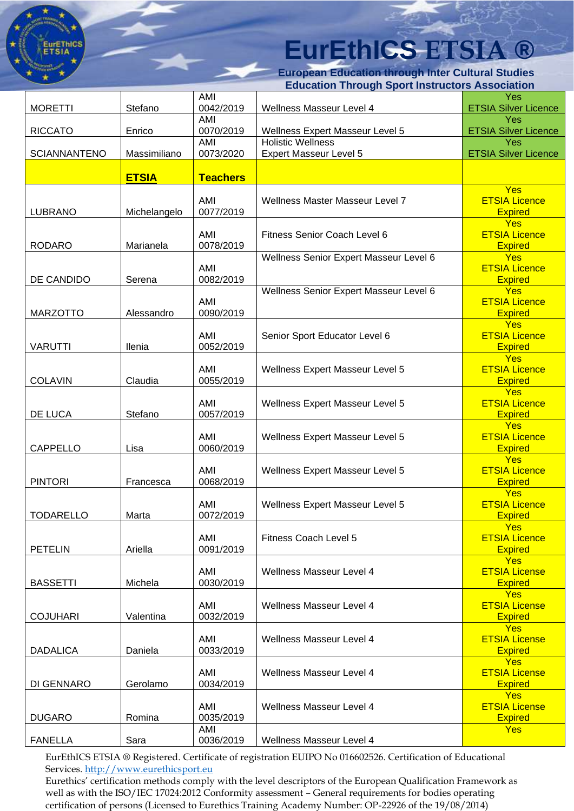**European Education through Inter Cultural Studies Education Through Sport Instructors Association**

|                     |              |                  | aavanon 1111 ought opont mou actors Association             |                                                      |
|---------------------|--------------|------------------|-------------------------------------------------------------|------------------------------------------------------|
| <b>MORETTI</b>      | Stefano      | AMI<br>0042/2019 | Wellness Masseur Level 4                                    | Yes<br><b>ETSIA Silver Licence</b>                   |
|                     |              | AMI              |                                                             | Yes                                                  |
| <b>RICCATO</b>      | Enrico       | 0070/2019<br>AMI | Wellness Expert Masseur Level 5<br><b>Holistic Wellness</b> | <b>ETSIA Silver Licence</b><br>Yes                   |
| <b>SCIANNANTENO</b> | Massimiliano | 0073/2020        | Expert Masseur Level 5                                      | <b>ETSIA Silver Licence</b>                          |
|                     |              |                  |                                                             |                                                      |
|                     | <b>ETSIA</b> | <b>Teachers</b>  |                                                             | Yes                                                  |
| <b>LUBRANO</b>      | Michelangelo | AMI<br>0077/2019 | Wellness Master Masseur Level 7                             | <b>ETSIA Licence</b><br><b>Expired</b>               |
| <b>RODARO</b>       | Marianela    | AMI<br>0078/2019 | Fitness Senior Coach Level 6                                | <b>Yes</b><br><b>ETSIA Licence</b><br><b>Expired</b> |
|                     |              |                  | Wellness Senior Expert Masseur Level 6                      | <b>Yes</b>                                           |
| DE CANDIDO          | Serena       | AMI<br>0082/2019 |                                                             | <b>ETSIA Licence</b><br><b>Expired</b>               |
|                     |              | AMI              | Wellness Senior Expert Masseur Level 6                      | Yes<br><b>ETSIA Licence</b>                          |
| <b>MARZOTTO</b>     | Alessandro   | 0090/2019        |                                                             | <b>Expired</b>                                       |
|                     |              | AMI              | Senior Sport Educator Level 6                               | <b>Yes</b><br><b>ETSIA Licence</b>                   |
| <b>VARUTTI</b>      | Ilenia       | 0052/2019        |                                                             | <b>Expired</b><br><b>Yes</b>                         |
| <b>COLAVIN</b>      | Claudia      | AMI<br>0055/2019 | Wellness Expert Masseur Level 5                             | <b>ETSIA Licence</b><br><b>Expired</b>               |
|                     |              |                  |                                                             | <b>Yes</b>                                           |
| DE LUCA             | Stefano      | AMI<br>0057/2019 | Wellness Expert Masseur Level 5                             | <b>ETSIA Licence</b><br><b>Expired</b>               |
|                     |              | AMI              | Wellness Expert Masseur Level 5                             | <b>Yes</b><br><b>ETSIA Licence</b>                   |
| CAPPELLO            | Lisa         | 0060/2019        |                                                             | <b>Expired</b>                                       |
|                     |              | AMI              | Wellness Expert Masseur Level 5                             | Yes<br><b>ETSIA Licence</b>                          |
| <b>PINTORI</b>      | Francesca    | 0068/2019        |                                                             | <b>Expired</b><br>Yes                                |
| <b>TODARELLO</b>    | Marta        | AMI<br>0072/2019 | Wellness Expert Masseur Level 5                             | <b>ETSIA Licence</b><br><b>Expired</b>               |
|                     |              |                  |                                                             | <b>Yes</b>                                           |
| <b>PETELIN</b>      | Ariella      | AMI<br>0091/2019 | Fitness Coach Level 5                                       | <b>ETSIA Licence</b><br><b>Expired</b>               |
|                     |              | AMI              | Wellness Masseur Level 4                                    | <b>Yes</b><br><b>ETSIA License</b>                   |
| <b>BASSETTI</b>     | Michela      | 0030/2019        |                                                             | <b>Expired</b>                                       |
|                     |              | AMI              | Wellness Masseur Level 4                                    | <b>Yes</b><br><b>ETSIA License</b>                   |
| <b>COJUHARI</b>     | Valentina    | 0032/2019        |                                                             | <b>Expired</b>                                       |
|                     |              |                  |                                                             | <b>Yes</b>                                           |
| <b>DADALICA</b>     | Daniela      | AMI<br>0033/2019 | <b>Wellness Masseur Level 4</b>                             | <b>ETSIA License</b><br><b>Expired</b>               |
|                     |              |                  |                                                             | <b>Yes</b>                                           |
| DI GENNARO          | Gerolamo     | AMI<br>0034/2019 | Wellness Masseur Level 4                                    | <b>ETSIA License</b><br><b>Expired</b>               |
|                     |              |                  |                                                             | <b>Yes</b>                                           |
| <b>DUGARO</b>       | Romina       | AMI<br>0035/2019 | <b>Wellness Masseur Level 4</b>                             | <b>ETSIA License</b><br><b>Expired</b>               |
| <b>FANELLA</b>      | Sara         | AMI<br>0036/2019 | Wellness Masseur Level 4                                    | <b>Yes</b>                                           |
|                     |              |                  |                                                             |                                                      |

EurEthICS ETSIA ® Registered. Certificate of registration EUIPO No 016602526. Certification of Educational Services. [http://www.eurethicsport.eu](http://www.eurethicsport.eu/)